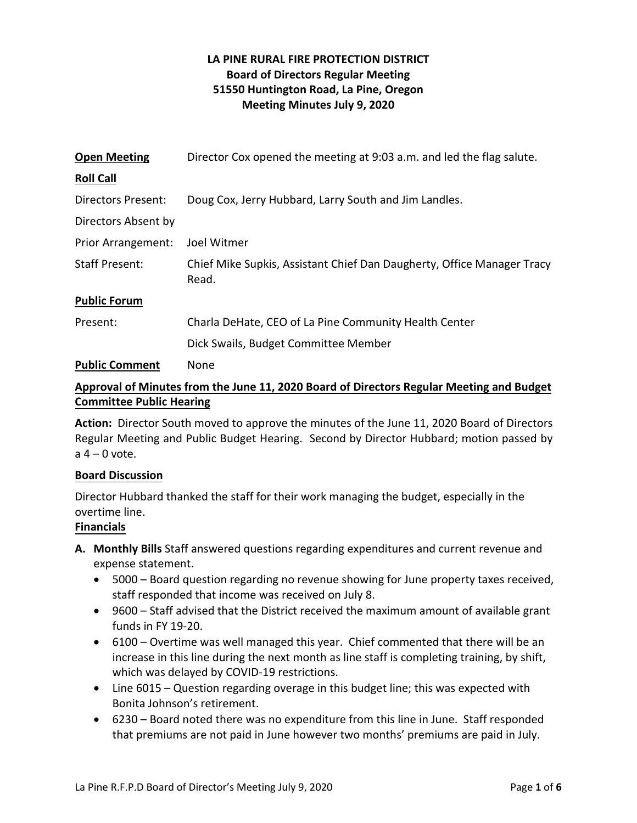# **LA PINE RURAL FIRE PROTECTION DISTRICT Board of Directors Regular Meeting 51550 Huntington Road, La Pine, Oregon Meeting Minutes July 9, 2020**

| <b>Open Meeting</b>       | Director Cox opened the meeting at 9:03 a.m. and led the flag salute.           |
|---------------------------|---------------------------------------------------------------------------------|
| <b>Roll Call</b>          |                                                                                 |
| <b>Directors Present:</b> | Doug Cox, Jerry Hubbard, Larry South and Jim Landles.                           |
| Directors Absent by       |                                                                                 |
| <b>Prior Arrangement:</b> | Joel Witmer                                                                     |
| <b>Staff Present:</b>     | Chief Mike Supkis, Assistant Chief Dan Daugherty, Office Manager Tracy<br>Read. |
| <b>Public Forum</b>       |                                                                                 |
| Present:                  | Charla DeHate, CEO of La Pine Community Health Center                           |
|                           | Dick Swails, Budget Committee Member                                            |
| <b>Public Comment</b>     | None                                                                            |

# **Approval of Minutes from the June 11, 2020 Board of Directors Regular Meeting and Budget Committee Public Hearing**

**Action:** Director South moved to approve the minutes of the June 11, 2020 Board of Directors Regular Meeting and Public Budget Hearing. Second by Director Hubbard; motion passed by  $a = 0$  vote.

## **Board Discussion**

Director Hubbard thanked the staff for their work managing the budget, especially in the overtime line.

# **Financials**

- **A. Monthly Bills** Staff answered questions regarding expenditures and current revenue and expense statement.
	- 5000 Board question regarding no revenue showing for June property taxes received, staff responded that income was received on July 8.
	- 9600 Staff advised that the District received the maximum amount of available grant funds in FY 19-20.
	- 6100 Overtime was well managed this year. Chief commented that there will be an increase in this line during the next month as line staff is completing training, by shift, which was delayed by COVID-19 restrictions.
	- Line 6015 Question regarding overage in this budget line; this was expected with Bonita Johnson's retirement.
	- 6230 Board noted there was no expenditure from this line in June. Staff responded that premiums are not paid in June however two months' premiums are paid in July.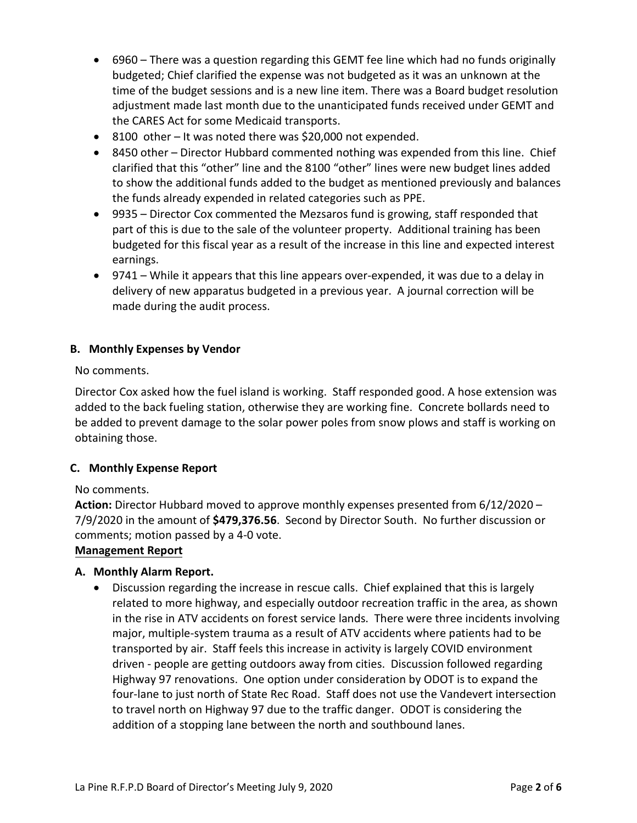- 6960 There was a question regarding this GEMT fee line which had no funds originally budgeted; Chief clarified the expense was not budgeted as it was an unknown at the time of the budget sessions and is a new line item. There was a Board budget resolution adjustment made last month due to the unanticipated funds received under GEMT and the CARES Act for some Medicaid transports.
- 8100 other It was noted there was \$20,000 not expended.
- 8450 other Director Hubbard commented nothing was expended from this line. Chief clarified that this "other" line and the 8100 "other" lines were new budget lines added to show the additional funds added to the budget as mentioned previously and balances the funds already expended in related categories such as PPE.
- 9935 Director Cox commented the Mezsaros fund is growing, staff responded that part of this is due to the sale of the volunteer property. Additional training has been budgeted for this fiscal year as a result of the increase in this line and expected interest earnings.
- 9741 While it appears that this line appears over-expended, it was due to a delay in delivery of new apparatus budgeted in a previous year. A journal correction will be made during the audit process.

# **B. Monthly Expenses by Vendor**

No comments.

Director Cox asked how the fuel island is working. Staff responded good. A hose extension was added to the back fueling station, otherwise they are working fine. Concrete bollards need to be added to prevent damage to the solar power poles from snow plows and staff is working on obtaining those.

## **C. Monthly Expense Report**

## No comments.

**Action:** Director Hubbard moved to approve monthly expenses presented from 6/12/2020 – 7/9/2020 in the amount of **\$479,376.56**. Second by Director South. No further discussion or comments; motion passed by a 4-0 vote.

## **Management Report**

## **A. Monthly Alarm Report.**

• Discussion regarding the increase in rescue calls. Chief explained that this is largely related to more highway, and especially outdoor recreation traffic in the area, as shown in the rise in ATV accidents on forest service lands. There were three incidents involving major, multiple-system trauma as a result of ATV accidents where patients had to be transported by air. Staff feels this increase in activity is largely COVID environment driven - people are getting outdoors away from cities. Discussion followed regarding Highway 97 renovations. One option under consideration by ODOT is to expand the four-lane to just north of State Rec Road. Staff does not use the Vandevert intersection to travel north on Highway 97 due to the traffic danger. ODOT is considering the addition of a stopping lane between the north and southbound lanes.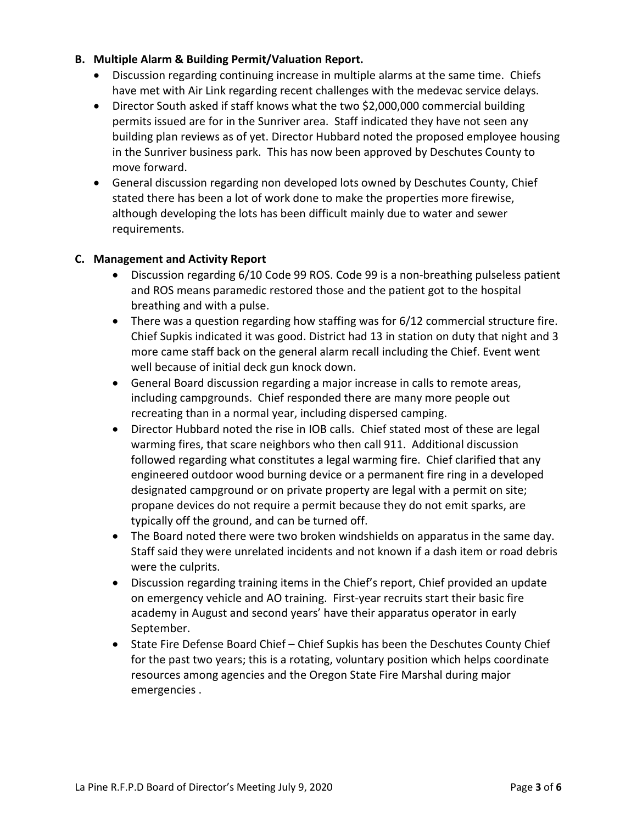# **B. Multiple Alarm & Building Permit/Valuation Report.**

- Discussion regarding continuing increase in multiple alarms at the same time. Chiefs have met with Air Link regarding recent challenges with the medevac service delays.
- Director South asked if staff knows what the two \$2,000,000 commercial building permits issued are for in the Sunriver area. Staff indicated they have not seen any building plan reviews as of yet. Director Hubbard noted the proposed employee housing in the Sunriver business park. This has now been approved by Deschutes County to move forward.
- General discussion regarding non developed lots owned by Deschutes County, Chief stated there has been a lot of work done to make the properties more firewise, although developing the lots has been difficult mainly due to water and sewer requirements.

## **C. Management and Activity Report**

- Discussion regarding 6/10 Code 99 ROS. Code 99 is a non-breathing pulseless patient and ROS means paramedic restored those and the patient got to the hospital breathing and with a pulse.
- There was a question regarding how staffing was for 6/12 commercial structure fire. Chief Supkis indicated it was good. District had 13 in station on duty that night and 3 more came staff back on the general alarm recall including the Chief. Event went well because of initial deck gun knock down.
- General Board discussion regarding a major increase in calls to remote areas, including campgrounds. Chief responded there are many more people out recreating than in a normal year, including dispersed camping.
- Director Hubbard noted the rise in IOB calls. Chief stated most of these are legal warming fires, that scare neighbors who then call 911. Additional discussion followed regarding what constitutes a legal warming fire. Chief clarified that any engineered outdoor wood burning device or a permanent fire ring in a developed designated campground or on private property are legal with a permit on site; propane devices do not require a permit because they do not emit sparks, are typically off the ground, and can be turned off.
- The Board noted there were two broken windshields on apparatus in the same day. Staff said they were unrelated incidents and not known if a dash item or road debris were the culprits.
- Discussion regarding training items in the Chief's report, Chief provided an update on emergency vehicle and AO training. First-year recruits start their basic fire academy in August and second years' have their apparatus operator in early September.
- State Fire Defense Board Chief Chief Supkis has been the Deschutes County Chief for the past two years; this is a rotating, voluntary position which helps coordinate resources among agencies and the Oregon State Fire Marshal during major emergencies .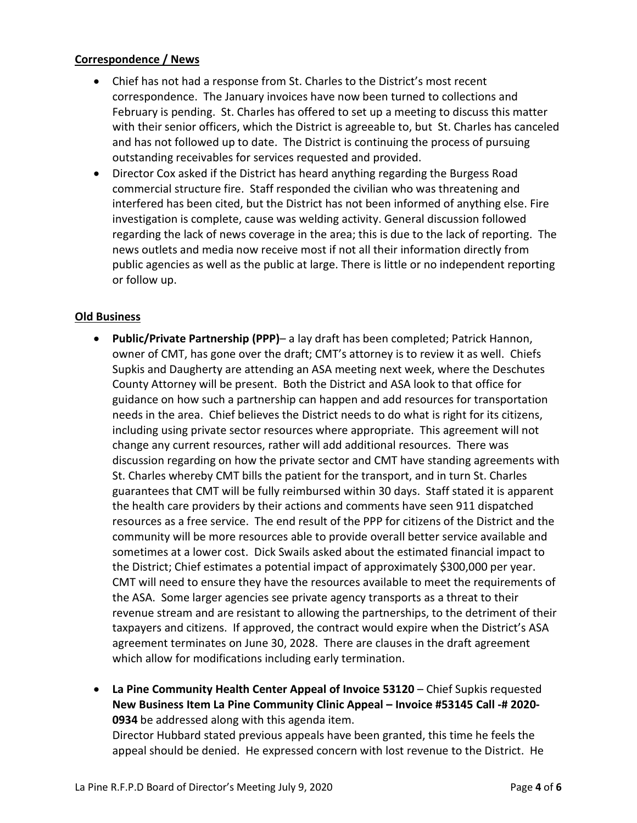# **Correspondence / News**

- Chief has not had a response from St. Charles to the District's most recent correspondence. The January invoices have now been turned to collections and February is pending. St. Charles has offered to set up a meeting to discuss this matter with their senior officers, which the District is agreeable to, but St. Charles has canceled and has not followed up to date. The District is continuing the process of pursuing outstanding receivables for services requested and provided.
- Director Cox asked if the District has heard anything regarding the Burgess Road commercial structure fire. Staff responded the civilian who was threatening and interfered has been cited, but the District has not been informed of anything else. Fire investigation is complete, cause was welding activity. General discussion followed regarding the lack of news coverage in the area; this is due to the lack of reporting. The news outlets and media now receive most if not all their information directly from public agencies as well as the public at large. There is little or no independent reporting or follow up.

# **Old Business**

- **Public/Private Partnership (PPP)** a lay draft has been completed; Patrick Hannon, owner of CMT, has gone over the draft; CMT's attorney is to review it as well. Chiefs Supkis and Daugherty are attending an ASA meeting next week, where the Deschutes County Attorney will be present. Both the District and ASA look to that office for guidance on how such a partnership can happen and add resources for transportation needs in the area. Chief believes the District needs to do what is right for its citizens, including using private sector resources where appropriate. This agreement will not change any current resources, rather will add additional resources. There was discussion regarding on how the private sector and CMT have standing agreements with St. Charles whereby CMT bills the patient for the transport, and in turn St. Charles guarantees that CMT will be fully reimbursed within 30 days. Staff stated it is apparent the health care providers by their actions and comments have seen 911 dispatched resources as a free service. The end result of the PPP for citizens of the District and the community will be more resources able to provide overall better service available and sometimes at a lower cost. Dick Swails asked about the estimated financial impact to the District; Chief estimates a potential impact of approximately \$300,000 per year. CMT will need to ensure they have the resources available to meet the requirements of the ASA. Some larger agencies see private agency transports as a threat to their revenue stream and are resistant to allowing the partnerships, to the detriment of their taxpayers and citizens. If approved, the contract would expire when the District's ASA agreement terminates on June 30, 2028. There are clauses in the draft agreement which allow for modifications including early termination.
- **La Pine Community Health Center Appeal of Invoice 53120** Chief Supkis requested **New Business Item La Pine Community Clinic Appeal – Invoice #53145 Call -# 2020- 0934** be addressed along with this agenda item. Director Hubbard stated previous appeals have been granted, this time he feels the appeal should be denied. He expressed concern with lost revenue to the District. He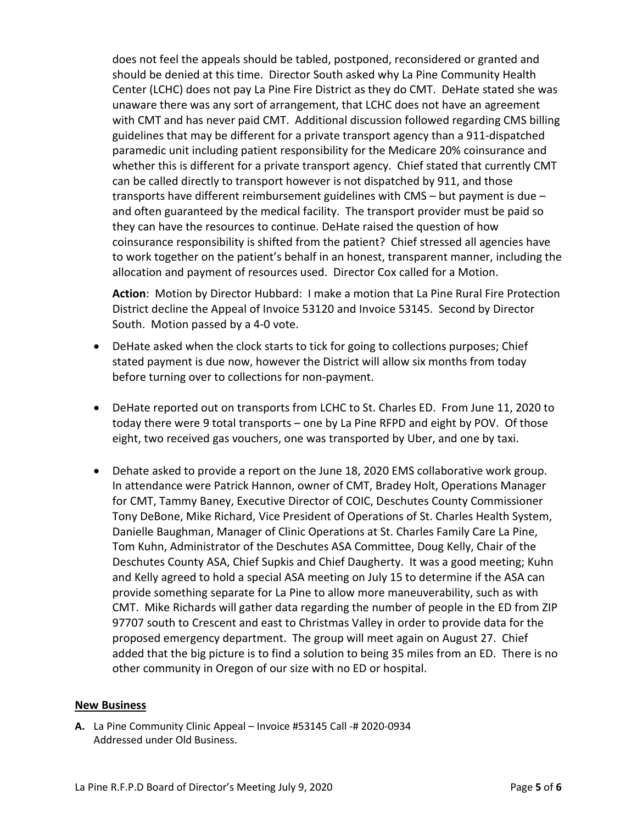does not feel the appeals should be tabled, postponed, reconsidered or granted and should be denied at this time. Director South asked why La Pine Community Health Center (LCHC) does not pay La Pine Fire District as they do CMT. DeHate stated she was unaware there was any sort of arrangement, that LCHC does not have an agreement with CMT and has never paid CMT. Additional discussion followed regarding CMS billing guidelines that may be different for a private transport agency than a 911-dispatched paramedic unit including patient responsibility for the Medicare 20% coinsurance and whether this is different for a private transport agency. Chief stated that currently CMT can be called directly to transport however is not dispatched by 911, and those transports have different reimbursement guidelines with CMS – but payment is due – and often guaranteed by the medical facility. The transport provider must be paid so they can have the resources to continue. DeHate raised the question of how coinsurance responsibility is shifted from the patient? Chief stressed all agencies have to work together on the patient's behalf in an honest, transparent manner, including the allocation and payment of resources used. Director Cox called for a Motion.

**Action**: Motion by Director Hubbard: I make a motion that La Pine Rural Fire Protection District decline the Appeal of Invoice 53120 and Invoice 53145. Second by Director South. Motion passed by a 4-0 vote.

- DeHate asked when the clock starts to tick for going to collections purposes; Chief stated payment is due now, however the District will allow six months from today before turning over to collections for non-payment.
- DeHate reported out on transports from LCHC to St. Charles ED. From June 11, 2020 to today there were 9 total transports – one by La Pine RFPD and eight by POV. Of those eight, two received gas vouchers, one was transported by Uber, and one by taxi.
- Dehate asked to provide a report on the June 18, 2020 EMS collaborative work group. In attendance were Patrick Hannon, owner of CMT, Bradey Holt, Operations Manager for CMT, Tammy Baney, Executive Director of COIC, Deschutes County Commissioner Tony DeBone, Mike Richard, Vice President of Operations of St. Charles Health System, Danielle Baughman, Manager of Clinic Operations at St. Charles Family Care La Pine, Tom Kuhn, Administrator of the Deschutes ASA Committee, Doug Kelly, Chair of the Deschutes County ASA, Chief Supkis and Chief Daugherty. It was a good meeting; Kuhn and Kelly agreed to hold a special ASA meeting on July 15 to determine if the ASA can provide something separate for La Pine to allow more maneuverability, such as with CMT. Mike Richards will gather data regarding the number of people in the ED from ZIP 97707 south to Crescent and east to Christmas Valley in order to provide data for the proposed emergency department. The group will meet again on August 27. Chief added that the big picture is to find a solution to being 35 miles from an ED. There is no other community in Oregon of our size with no ED or hospital.

#### **New Business**

**A.** La Pine Community Clinic Appeal – Invoice #53145 Call -# 2020-0934 Addressed under Old Business.